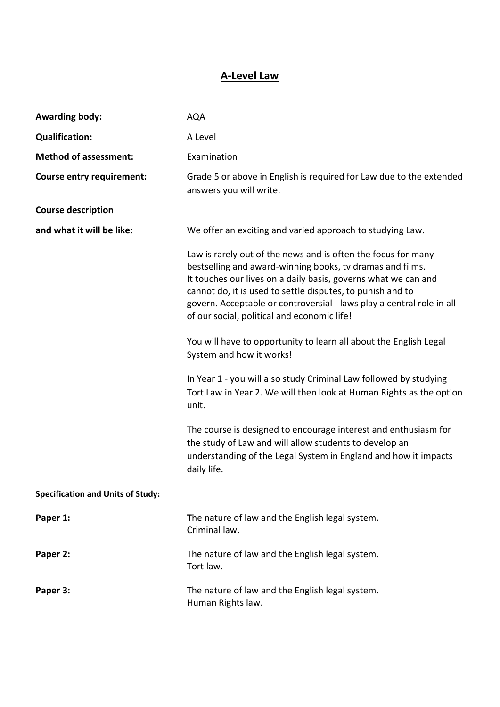## **A-Level Law**

| <b>Awarding body:</b>                    | <b>AQA</b>                                                                                                                                                                                                                                                                                                                                                                         |
|------------------------------------------|------------------------------------------------------------------------------------------------------------------------------------------------------------------------------------------------------------------------------------------------------------------------------------------------------------------------------------------------------------------------------------|
| <b>Qualification:</b>                    | A Level                                                                                                                                                                                                                                                                                                                                                                            |
| <b>Method of assessment:</b>             | Examination                                                                                                                                                                                                                                                                                                                                                                        |
| <b>Course entry requirement:</b>         | Grade 5 or above in English is required for Law due to the extended<br>answers you will write.                                                                                                                                                                                                                                                                                     |
| <b>Course description</b>                |                                                                                                                                                                                                                                                                                                                                                                                    |
| and what it will be like:                | We offer an exciting and varied approach to studying Law.                                                                                                                                                                                                                                                                                                                          |
|                                          | Law is rarely out of the news and is often the focus for many<br>bestselling and award-winning books, tv dramas and films.<br>It touches our lives on a daily basis, governs what we can and<br>cannot do, it is used to settle disputes, to punish and to<br>govern. Acceptable or controversial - laws play a central role in all<br>of our social, political and economic life! |
|                                          | You will have to opportunity to learn all about the English Legal<br>System and how it works!                                                                                                                                                                                                                                                                                      |
|                                          | In Year 1 - you will also study Criminal Law followed by studying<br>Tort Law in Year 2. We will then look at Human Rights as the option<br>unit.                                                                                                                                                                                                                                  |
|                                          | The course is designed to encourage interest and enthusiasm for<br>the study of Law and will allow students to develop an<br>understanding of the Legal System in England and how it impacts<br>daily life.                                                                                                                                                                        |
| <b>Specification and Units of Study:</b> |                                                                                                                                                                                                                                                                                                                                                                                    |
| Paper 1:                                 | The nature of law and the English legal system.<br>Criminal law.                                                                                                                                                                                                                                                                                                                   |
| Paper 2:                                 | The nature of law and the English legal system.<br>Tort law.                                                                                                                                                                                                                                                                                                                       |
| Paper 3:                                 | The nature of law and the English legal system.<br>Human Rights law.                                                                                                                                                                                                                                                                                                               |